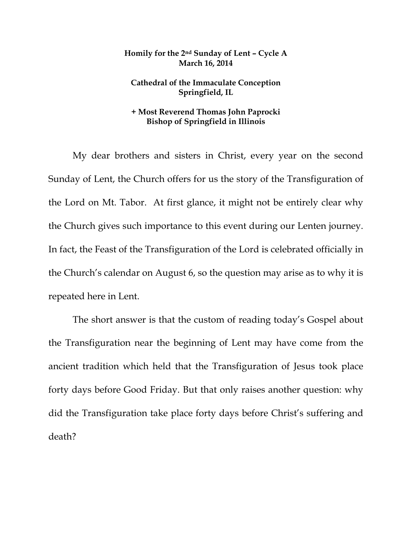## **Homily for the 2nd Sunday of Lent – Cycle A March 16, 2014**

## **Cathedral of the Immaculate Conception Springfield, IL**

## **+ Most Reverend Thomas John Paprocki Bishop of Springfield in Illinois**

My dear brothers and sisters in Christ, every year on the second Sunday of Lent, the Church offers for us the story of the Transfiguration of the Lord on Mt. Tabor. At first glance, it might not be entirely clear why the Church gives such importance to this event during our Lenten journey. In fact, the Feast of the Transfiguration of the Lord is celebrated officially in the Church's calendar on August 6, so the question may arise as to why it is repeated here in Lent.

The short answer is that the custom of reading today's Gospel about the Transfiguration near the beginning of Lent may have come from the ancient tradition which held that the Transfiguration of Jesus took place forty days before Good Friday. But that only raises another question: why did the Transfiguration take place forty days before Christ's suffering and death?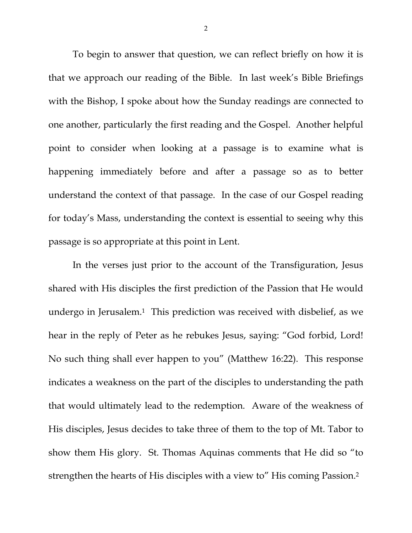To begin to answer that question, we can reflect briefly on how it is that we approach our reading of the Bible. In last week's Bible Briefings with the Bishop, I spoke about how the Sunday readings are connected to one another, particularly the first reading and the Gospel. Another helpful point to consider when looking at a passage is to examine what is happening immediately before and after a passage so as to better understand the context of that passage. In the case of our Gospel reading for today's Mass, understanding the context is essential to seeing why this passage is so appropriate at this point in Lent.

In the verses just prior to the account of the Transfiguration, Jesus shared with His disciples the first prediction of the Passion that He would undergo in Jerusalem.1 This prediction was received with disbelief, as we hear in the reply of Peter as he rebukes Jesus, saying: "God forbid, Lord! No such thing shall ever happen to you" (Matthew 16:22). This response indicates a weakness on the part of the disciples to understanding the path that would ultimately lead to the redemption. Aware of the weakness of His disciples, Jesus decides to take three of them to the top of Mt. Tabor to show them His glory. St. Thomas Aquinas comments that He did so "to strengthen the hearts of His disciples with a view to" His coming Passion.2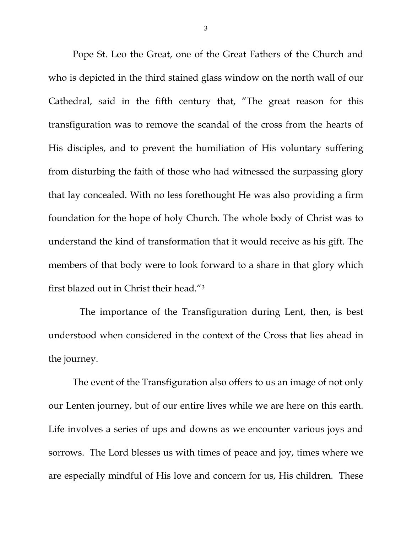Pope St. Leo the Great, one of the Great Fathers of the Church and who is depicted in the third stained glass window on the north wall of our Cathedral, said in the fifth century that, "The great reason for this transfiguration was to remove the scandal of the cross from the hearts of His disciples, and to prevent the humiliation of His voluntary suffering from disturbing the faith of those who had witnessed the surpassing glory that lay concealed. With no less forethought He was also providing a firm foundation for the hope of holy Church. The whole body of Christ was to understand the kind of transformation that it would receive as his gift. The members of that body were to look forward to a share in that glory which first blazed out in Christ their head."3

 The importance of the Transfiguration during Lent, then, is best understood when considered in the context of the Cross that lies ahead in the journey.

The event of the Transfiguration also offers to us an image of not only our Lenten journey, but of our entire lives while we are here on this earth. Life involves a series of ups and downs as we encounter various joys and sorrows. The Lord blesses us with times of peace and joy, times where we are especially mindful of His love and concern for us, His children. These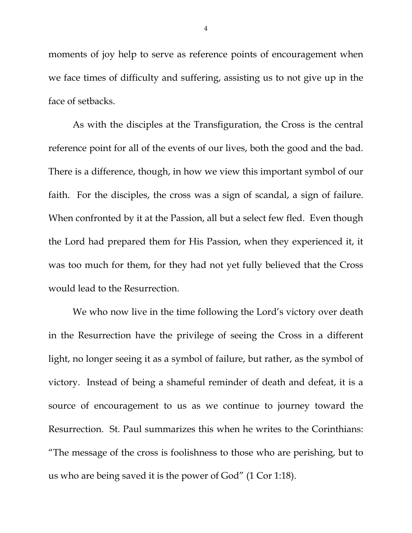moments of joy help to serve as reference points of encouragement when we face times of difficulty and suffering, assisting us to not give up in the face of setbacks.

As with the disciples at the Transfiguration, the Cross is the central reference point for all of the events of our lives, both the good and the bad. There is a difference, though, in how we view this important symbol of our faith. For the disciples, the cross was a sign of scandal, a sign of failure. When confronted by it at the Passion, all but a select few fled. Even though the Lord had prepared them for His Passion, when they experienced it, it was too much for them, for they had not yet fully believed that the Cross would lead to the Resurrection.

We who now live in the time following the Lord's victory over death in the Resurrection have the privilege of seeing the Cross in a different light, no longer seeing it as a symbol of failure, but rather, as the symbol of victory. Instead of being a shameful reminder of death and defeat, it is a source of encouragement to us as we continue to journey toward the Resurrection. St. Paul summarizes this when he writes to the Corinthians: "The message of the cross is foolishness to those who are perishing, but to us who are being saved it is the power of God" (1 Cor 1:18).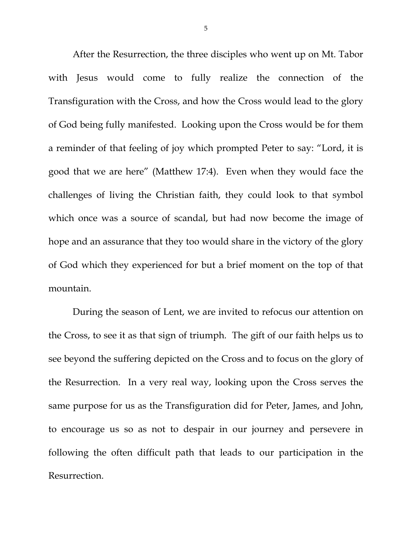After the Resurrection, the three disciples who went up on Mt. Tabor with Jesus would come to fully realize the connection of the Transfiguration with the Cross, and how the Cross would lead to the glory of God being fully manifested. Looking upon the Cross would be for them a reminder of that feeling of joy which prompted Peter to say: "Lord, it is good that we are here" (Matthew 17:4). Even when they would face the challenges of living the Christian faith, they could look to that symbol which once was a source of scandal, but had now become the image of hope and an assurance that they too would share in the victory of the glory of God which they experienced for but a brief moment on the top of that mountain.

During the season of Lent, we are invited to refocus our attention on the Cross, to see it as that sign of triumph. The gift of our faith helps us to see beyond the suffering depicted on the Cross and to focus on the glory of the Resurrection. In a very real way, looking upon the Cross serves the same purpose for us as the Transfiguration did for Peter, James, and John, to encourage us so as not to despair in our journey and persevere in following the often difficult path that leads to our participation in the Resurrection.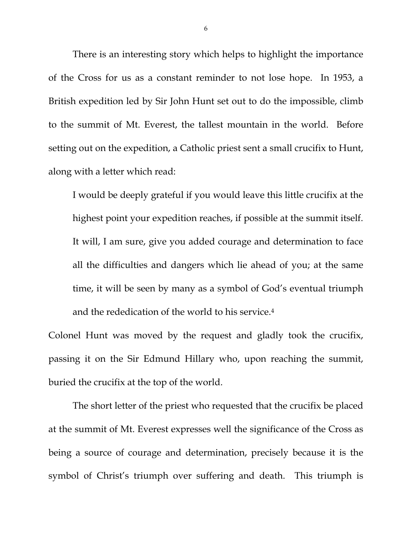There is an interesting story which helps to highlight the importance of the Cross for us as a constant reminder to not lose hope. In 1953, a British expedition led by Sir John Hunt set out to do the impossible, climb to the summit of Mt. Everest, the tallest mountain in the world. Before setting out on the expedition, a Catholic priest sent a small crucifix to Hunt, along with a letter which read:

I would be deeply grateful if you would leave this little crucifix at the highest point your expedition reaches, if possible at the summit itself. It will, I am sure, give you added courage and determination to face all the difficulties and dangers which lie ahead of you; at the same time, it will be seen by many as a symbol of God's eventual triumph and the rededication of the world to his service.4

Colonel Hunt was moved by the request and gladly took the crucifix, passing it on the Sir Edmund Hillary who, upon reaching the summit, buried the crucifix at the top of the world.

 The short letter of the priest who requested that the crucifix be placed at the summit of Mt. Everest expresses well the significance of the Cross as being a source of courage and determination, precisely because it is the symbol of Christ's triumph over suffering and death. This triumph is